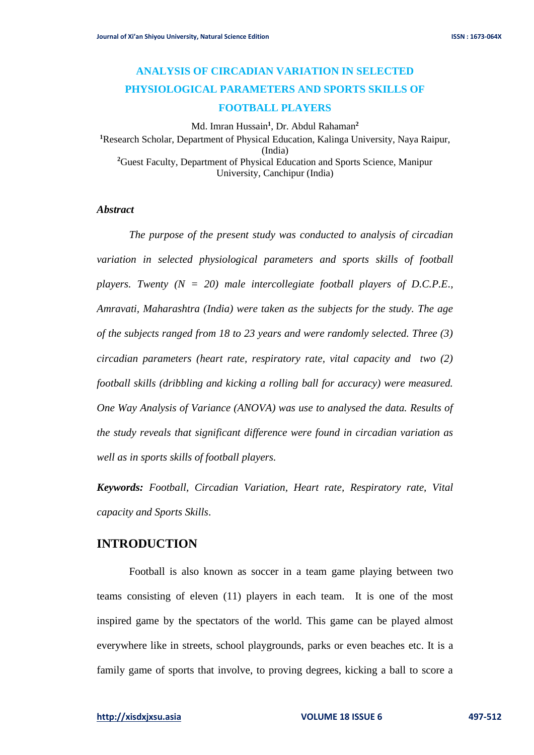# **ANALYSIS OF CIRCADIAN VARIATION IN SELECTED PHYSIOLOGICAL PARAMETERS AND SPORTS SKILLS OF FOOTBALL PLAYERS**

Md. Imran Hussain**<sup>1</sup>** , Dr. Abdul Rahaman**<sup>2</sup> <sup>1</sup>**Research Scholar, Department of Physical Education, Kalinga University, Naya Raipur, (India) **<sup>2</sup>**Guest Faculty, Department of Physical Education and Sports Science, Manipur University, Canchipur (India)

#### *Abstract*

*The purpose of the present study was conducted to analysis of circadian variation in selected physiological parameters and sports skills of football players. Twenty (N = 20) male intercollegiate football players of D.C.P.E., Amravati, Maharashtra (India) were taken as the subjects for the study. The age of the subjects ranged from 18 to 23 years and were randomly selected. Three (3) circadian parameters (heart rate, respiratory rate, vital capacity and two (2) football skills (dribbling and kicking a rolling ball for accuracy) were measured. One Way Analysis of Variance (ANOVA) was use to analysed the data. Results of the study reveals that significant difference were found in circadian variation as well as in sports skills of football players.*

*Keywords: Football, Circadian Variation, Heart rate, Respiratory rate, Vital capacity and Sports Skills*.

### **INTRODUCTION**

Football is also known as soccer in a team game playing between two teams consisting of eleven (11) players in each team. It is one of the most inspired game by the spectators of the world. This game can be played almost everywhere like in streets, school playgrounds, parks or even beaches etc. It is a family game of sports that involve, to proving degrees, kicking a ball to score a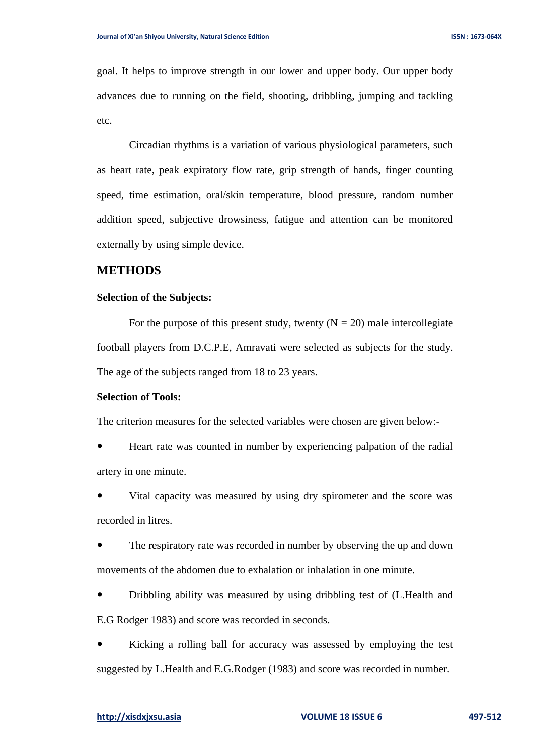goal. It helps to improve strength in our lower and upper body. Our upper body advances due to running on the field, shooting, dribbling, jumping and tackling etc.

Circadian rhythms is a variation of various physiological parameters, such as heart rate, peak expiratory flow rate, grip strength of hands, finger counting speed, time estimation, oral/skin temperature, blood pressure, random number addition speed, subjective drowsiness, fatigue and attention can be monitored externally by using simple device.

# **METHODS**

#### **Selection of the Subjects:**

For the purpose of this present study, twenty  $(N = 20)$  male intercollegiate football players from D.C.P.E, Amravati were selected as subjects for the study. The age of the subjects ranged from 18 to 23 years.

### **Selection of Tools:**

The criterion measures for the selected variables were chosen are given below:-

 Heart rate was counted in number by experiencing palpation of the radial artery in one minute.

 Vital capacity was measured by using dry spirometer and the score was recorded in litres.

 The respiratory rate was recorded in number by observing the up and down movements of the abdomen due to exhalation or inhalation in one minute.

 Dribbling ability was measured by using dribbling test of (L.Health and E.G Rodger 1983) and score was recorded in seconds.

 Kicking a rolling ball for accuracy was assessed by employing the test suggested by L.Health and E.G.Rodger (1983) and score was recorded in number.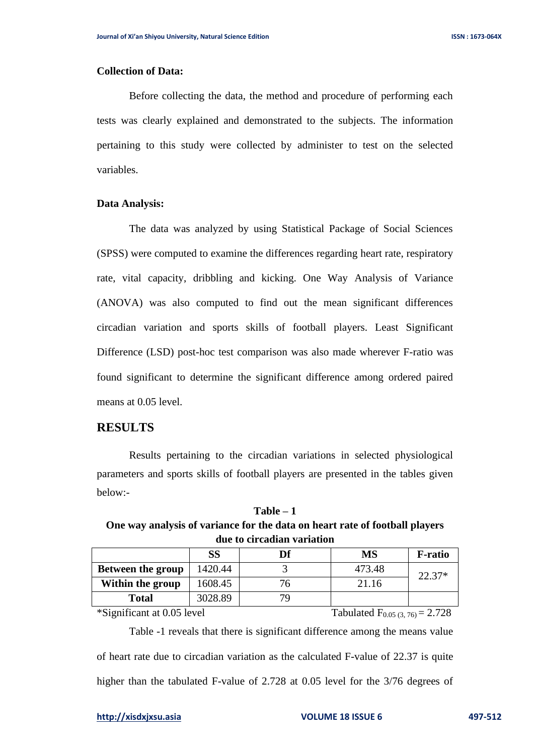#### **Collection of Data:**

Before collecting the data, the method and procedure of performing each tests was clearly explained and demonstrated to the subjects. The information pertaining to this study were collected by administer to test on the selected variables.

#### **Data Analysis:**

The data was analyzed by using Statistical Package of Social Sciences (SPSS) were computed to examine the differences regarding heart rate, respiratory rate, vital capacity, dribbling and kicking. One Way Analysis of Variance (ANOVA) was also computed to find out the mean significant differences circadian variation and sports skills of football players. Least Significant Difference (LSD) post-hoc test comparison was also made wherever F-ratio was found significant to determine the significant difference among ordered paired means at 0.05 level.

#### **RESULTS**

Results pertaining to the circadian variations in selected physiological parameters and sports skills of football players are presented in the tables given below:-

**Table – 1 One way analysis of variance for the data on heart rate of football players due to circadian variation**

|                          | <b>SS</b> | Df | MS     | <b>F-ratio</b> |
|--------------------------|-----------|----|--------|----------------|
| <b>Between the group</b> | 1420.44   |    | 473.48 | 22.37*         |
| Within the group         | 1608.45   |    | 21.16  |                |
| <b>Total</b>             | 3028.89   |    |        |                |

\*Significant at 0.05 level Tabulated F<sub>0.05 (3, 76</sub> = 2.728)

Table -1 reveals that there is significant difference among the means value of heart rate due to circadian variation as the calculated F-value of 22.37 is quite higher than the tabulated F-value of 2.728 at 0.05 level for the 3/76 degrees of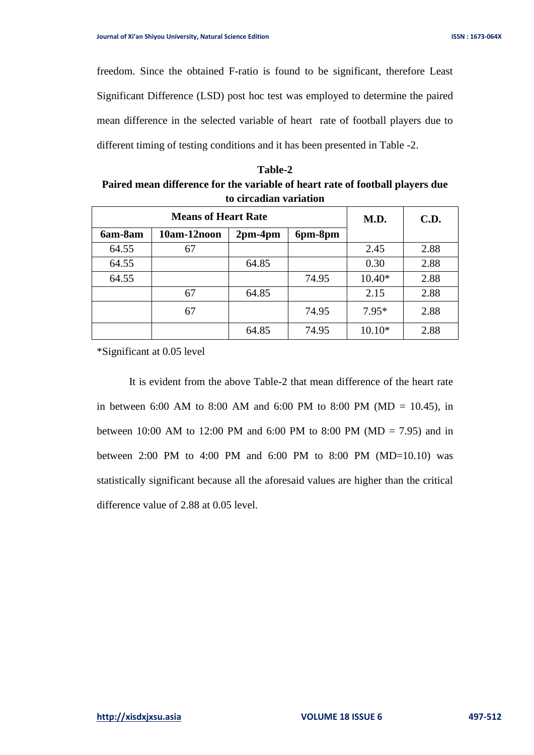freedom. Since the obtained F-ratio is found to be significant, therefore Least Significant Difference (LSD) post hoc test was employed to determine the paired mean difference in the selected variable of heart rate of football players due to different timing of testing conditions and it has been presented in Table -2.

| <b>Table-2</b>                                                                |
|-------------------------------------------------------------------------------|
| Paired mean difference for the variable of heart rate of football players due |
| to circadian variation                                                        |

| <b>Means of Heart Rate</b> |             |           | M.D.    | C.D.     |      |
|----------------------------|-------------|-----------|---------|----------|------|
| 6am-8am                    | 10am-12noon | $2pm-4pm$ | 6pm-8pm |          |      |
| 64.55                      | 67          |           |         | 2.45     | 2.88 |
| 64.55                      |             | 64.85     |         | 0.30     | 2.88 |
| 64.55                      |             |           | 74.95   | $10.40*$ | 2.88 |
|                            | 67          | 64.85     |         | 2.15     | 2.88 |
|                            | 67          |           | 74.95   | $7.95*$  | 2.88 |
|                            |             | 64.85     | 74.95   | $10.10*$ | 2.88 |

\*Significant at 0.05 level

It is evident from the above Table-2 that mean difference of the heart rate in between 6:00 AM to 8:00 AM and 6:00 PM to 8:00 PM (MD = 10.45), in between 10:00 AM to 12:00 PM and 6:00 PM to 8:00 PM (MD = 7.95) and in between 2:00 PM to 4:00 PM and 6:00 PM to 8:00 PM (MD=10.10) was statistically significant because all the aforesaid values are higher than the critical difference value of 2.88 at 0.05 level.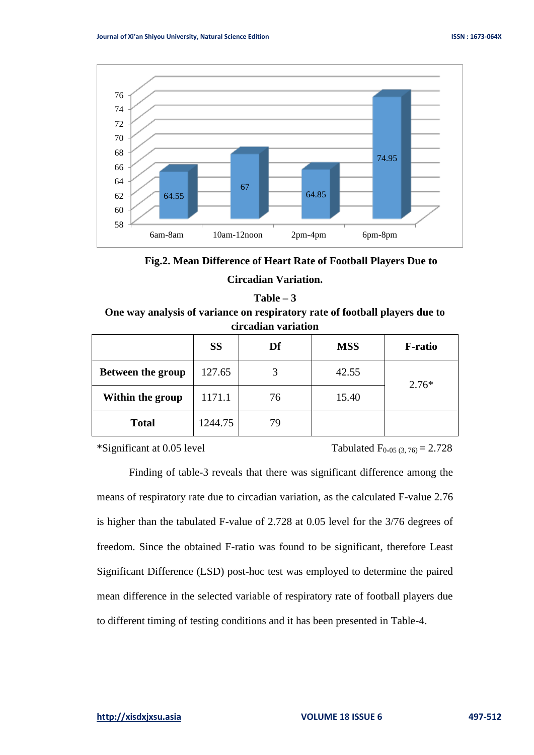

**Fig.2. Mean Difference of Heart Rate of Football Players Due to** 

### **Circadian Variation.**

**Table – 3 One way analysis of variance on respiratory rate of football players due to circadian variation**

|                          | <b>SS</b> | Df | <b>MSS</b> | <b>F-ratio</b> |
|--------------------------|-----------|----|------------|----------------|
| <b>Between the group</b> | 127.65    |    | 42.55      | $2.76*$        |
| Within the group         | 1171.1    | 76 | 15.40      |                |
| <b>Total</b>             | 1244.75   | 79 |            |                |

\*Significant at 0.05 level Tabulated  $F_{0.05 (3, 76)} = 2.728$ 

Finding of table-3 reveals that there was significant difference among the means of respiratory rate due to circadian variation, as the calculated F-value 2.76 is higher than the tabulated F-value of 2.728 at 0.05 level for the 3/76 degrees of freedom. Since the obtained F-ratio was found to be significant, therefore Least Significant Difference (LSD) post-hoc test was employed to determine the paired mean difference in the selected variable of respiratory rate of football players due to different timing of testing conditions and it has been presented in Table-4.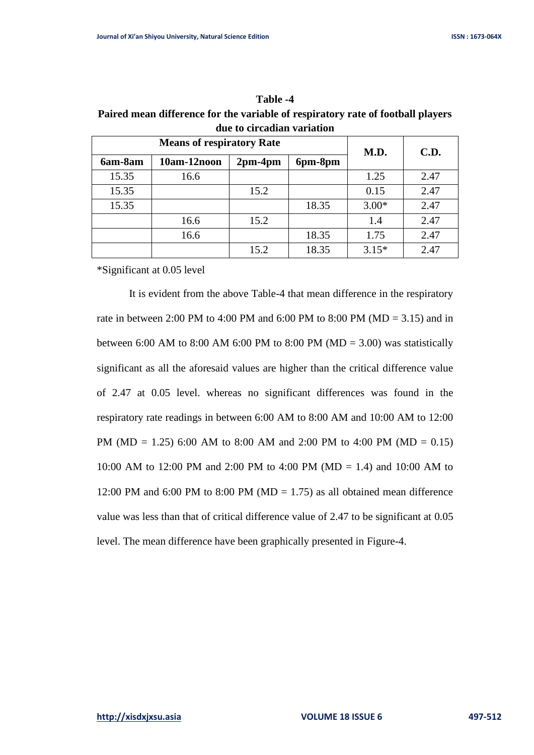| Table -4                                                                        |
|---------------------------------------------------------------------------------|
| Paired mean difference for the variable of respiratory rate of football players |
| due to circadian variation                                                      |

**Table 1** 

| <b>Means of respiratory Rate</b> |             |           |         | M.D.    | C.D. |  |
|----------------------------------|-------------|-----------|---------|---------|------|--|
| 6am-8am                          | 10am-12noon | $2pm-4pm$ | 6pm-8pm |         |      |  |
| 15.35                            | 16.6        |           |         | 1.25    | 2.47 |  |
| 15.35                            |             | 15.2      |         | 0.15    | 2.47 |  |
| 15.35                            |             |           | 18.35   | $3.00*$ | 2.47 |  |
|                                  | 16.6        | 15.2      |         | 1.4     | 2.47 |  |
|                                  | 16.6        |           | 18.35   | 1.75    | 2.47 |  |
|                                  |             | 15.2      | 18.35   | $3.15*$ | 2.47 |  |

\*Significant at 0.05 level

It is evident from the above Table-4 that mean difference in the respiratory rate in between 2:00 PM to 4:00 PM and 6:00 PM to 8:00 PM ( $MD = 3.15$ ) and in between 6:00 AM to 8:00 AM 6:00 PM to 8:00 PM (MD = 3.00) was statistically significant as all the aforesaid values are higher than the critical difference value of 2.47 at 0.05 level. whereas no significant differences was found in the respiratory rate readings in between 6:00 AM to 8:00 AM and 10:00 AM to 12:00 PM (MD = 1.25) 6:00 AM to 8:00 AM and 2:00 PM to 4:00 PM (MD = 0.15) 10:00 AM to 12:00 PM and 2:00 PM to 4:00 PM (MD = 1.4) and 10:00 AM to 12:00 PM and 6:00 PM to 8:00 PM ( $MD = 1.75$ ) as all obtained mean difference value was less than that of critical difference value of 2.47 to be significant at 0.05 level. The mean difference have been graphically presented in Figure-4.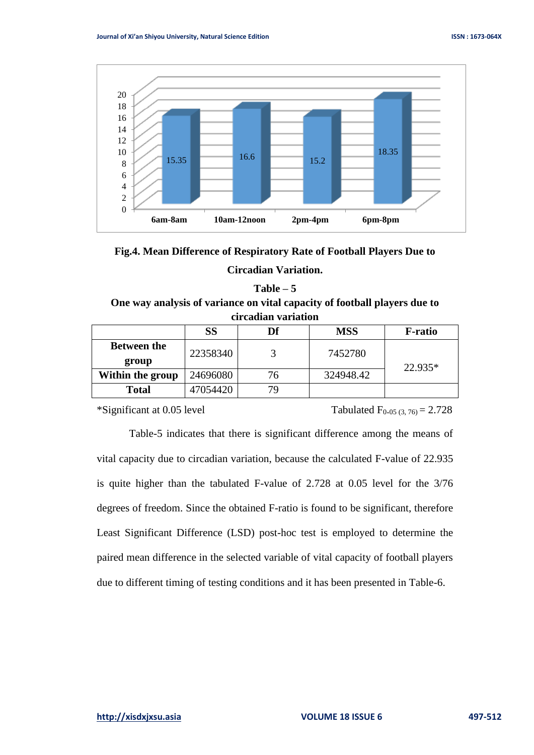

**Fig.4. Mean Difference of Respiratory Rate of Football Players Due to** 

**Circadian Variation.**

#### **Table – 5**

# **One way analysis of variance on vital capacity of football players due to circadian variation**

|                             | SS       | Df | <b>MSS</b> | <b>F-ratio</b> |  |
|-----------------------------|----------|----|------------|----------------|--|
| <b>Between the</b><br>group | 22358340 |    | 7452780    | 22.935*        |  |
| Within the group            | 24696080 | 76 | 324948.42  |                |  |
| <b>Total</b>                | 47054420 | 79 |            |                |  |

\*Significant at 0.05 level Tabulated  $F_{0.05 (3, 76)} = 2.728$ 

Table-5 indicates that there is significant difference among the means of vital capacity due to circadian variation, because the calculated F-value of 22.935 is quite higher than the tabulated F-value of 2.728 at 0.05 level for the 3/76 degrees of freedom. Since the obtained F-ratio is found to be significant, therefore Least Significant Difference (LSD) post-hoc test is employed to determine the paired mean difference in the selected variable of vital capacity of football players due to different timing of testing conditions and it has been presented in Table-6.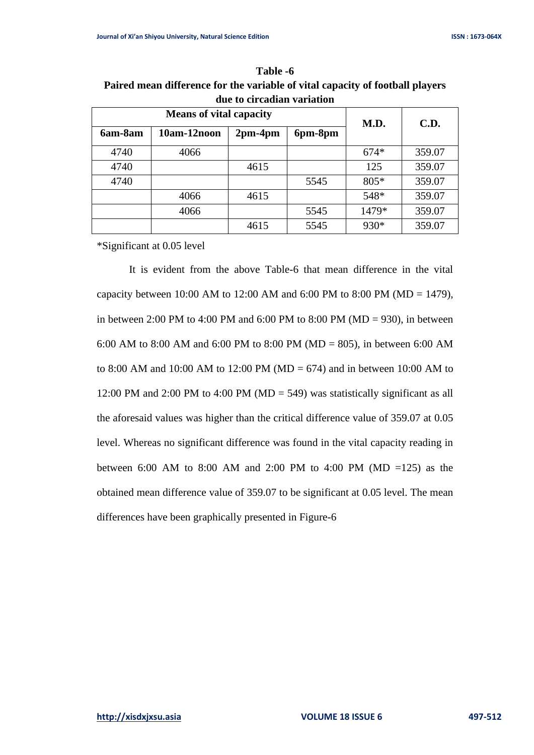| uut to th taulah variativii |                                |           |         |        |        |  |  |
|-----------------------------|--------------------------------|-----------|---------|--------|--------|--|--|
|                             | <b>Means of vital capacity</b> | M.D.      | C.D.    |        |        |  |  |
| 6am-8am                     | 10am-12noon                    | $2pm-4pm$ | 6pm-8pm |        |        |  |  |
| 4740                        | 4066                           |           |         | $674*$ | 359.07 |  |  |
| 4740                        |                                | 4615      |         | 125    | 359.07 |  |  |
| 4740                        |                                |           | 5545    | 805*   | 359.07 |  |  |
|                             | 4066                           | 4615      |         | 548*   | 359.07 |  |  |
|                             | 4066                           |           | 5545    | 1479*  | 359.07 |  |  |
|                             |                                | 4615      | 5545    | 930*   | 359.07 |  |  |

**Table -6 Paired mean difference for the variable of vital capacity of football players due to circadian variation**

\*Significant at 0.05 level

It is evident from the above Table-6 that mean difference in the vital capacity between 10:00 AM to 12:00 AM and 6:00 PM to 8:00 PM (MD = 1479), in between 2:00 PM to 4:00 PM and 6:00 PM to 8:00 PM ( $MD = 930$ ), in between 6:00 AM to 8:00 AM and 6:00 PM to 8:00 PM (MD = 805), in between 6:00 AM to 8:00 AM and 10:00 AM to 12:00 PM (MD = 674) and in between 10:00 AM to 12:00 PM and 2:00 PM to 4:00 PM (MD = 549) was statistically significant as all the aforesaid values was higher than the critical difference value of 359.07 at 0.05 level. Whereas no significant difference was found in the vital capacity reading in between 6:00 AM to 8:00 AM and 2:00 PM to 4:00 PM (MD =125) as the obtained mean difference value of 359.07 to be significant at 0.05 level. The mean differences have been graphically presented in Figure-6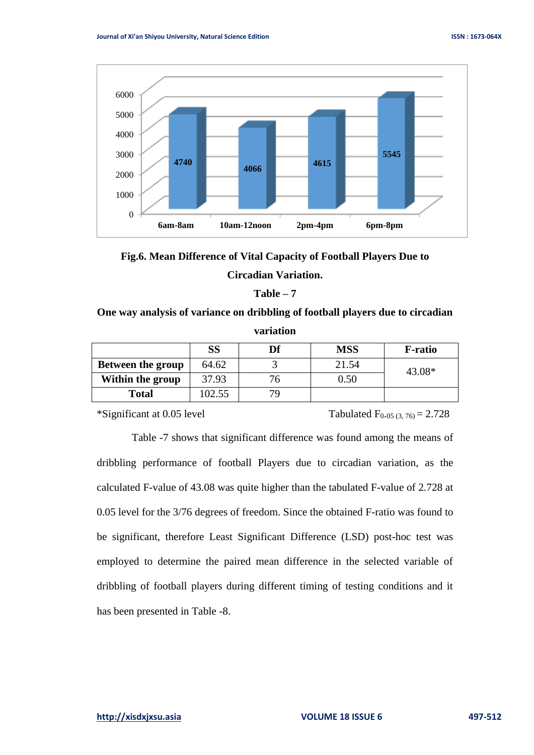



#### **Table – 7**

**One way analysis of variance on dribbling of football players due to circadian variation**

|                          | SS     | Df | <b>MSS</b> | <b>F-ratio</b> |
|--------------------------|--------|----|------------|----------------|
| <b>Between the group</b> | 64.62  |    | 21.54      | 43.08*         |
| Within the group         | 37.93  | 76 | 0.50       |                |
| <b>Total</b>             | 102.55 | 7Q |            |                |

\*Significant at 0.05 level Tabulated  $F_{0.05 (3, 76)} = 2.728$ 

Table -7 shows that significant difference was found among the means of dribbling performance of football Players due to circadian variation, as the calculated F-value of 43.08 was quite higher than the tabulated F-value of 2.728 at 0.05 level for the 3/76 degrees of freedom. Since the obtained F-ratio was found to be significant, therefore Least Significant Difference (LSD) post-hoc test was employed to determine the paired mean difference in the selected variable of dribbling of football players during different timing of testing conditions and it has been presented in Table -8.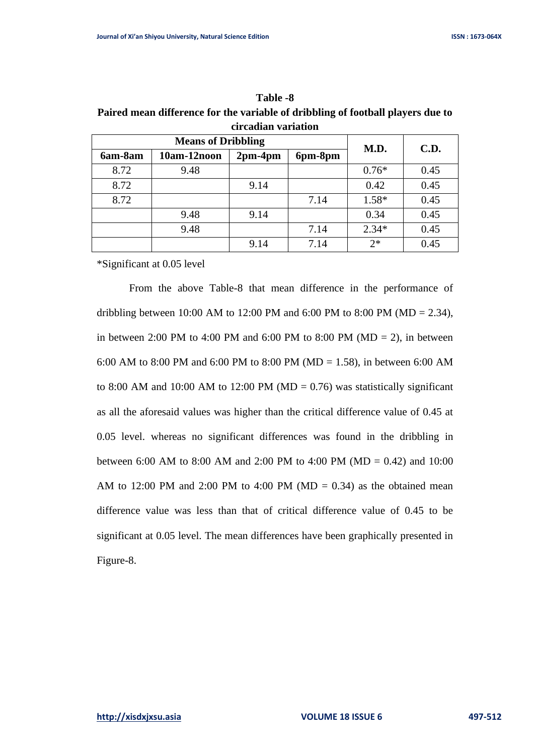|         | un caunan van hauvn       |           |         |         |      |  |  |  |
|---------|---------------------------|-----------|---------|---------|------|--|--|--|
|         | <b>Means of Dribbling</b> | M.D.      | C.D.    |         |      |  |  |  |
| 6am-8am | 10am-12noon               | $2pm-4pm$ | 6pm-8pm |         |      |  |  |  |
| 8.72    | 9.48                      |           |         | $0.76*$ | 0.45 |  |  |  |
| 8.72    |                           | 9.14      |         | 0.42    | 0.45 |  |  |  |
| 8.72    |                           |           | 7.14    | $1.58*$ | 0.45 |  |  |  |
|         | 9.48                      | 9.14      |         | 0.34    | 0.45 |  |  |  |
|         | 9.48                      |           | 7.14    | $2.34*$ | 0.45 |  |  |  |
|         |                           | 9.14      | 7.14    | $2*$    | 0.45 |  |  |  |

**Table -8 Paired mean difference for the variable of dribbling of football players due to circadian variation**

\*Significant at 0.05 level

From the above Table-8 that mean difference in the performance of dribbling between 10:00 AM to 12:00 PM and 6:00 PM to 8:00 PM (MD = 2.34), in between 2:00 PM to 4:00 PM and 6:00 PM to 8:00 PM ( $MD = 2$ ), in between 6:00 AM to 8:00 PM and 6:00 PM to 8:00 PM (MD = 1.58), in between 6:00 AM to 8:00 AM and 10:00 AM to 12:00 PM (MD = 0.76) was statistically significant as all the aforesaid values was higher than the critical difference value of 0.45 at 0.05 level. whereas no significant differences was found in the dribbling in between 6:00 AM to 8:00 AM and 2:00 PM to 4:00 PM (MD = 0.42) and 10:00 AM to 12:00 PM and 2:00 PM to 4:00 PM ( $MD = 0.34$ ) as the obtained mean difference value was less than that of critical difference value of 0.45 to be significant at 0.05 level. The mean differences have been graphically presented in Figure-8.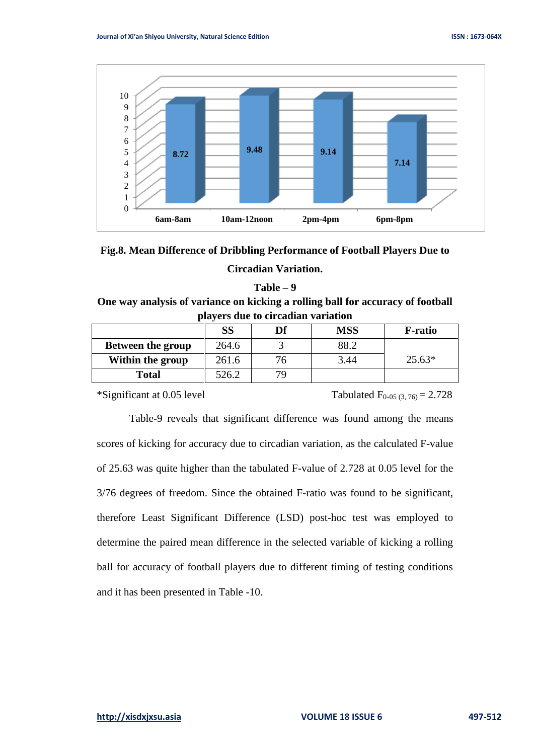



#### **Table – 9**

# **One way analysis of variance on kicking a rolling ball for accuracy of football players due to circadian variation**

|                          | SS    | Df  | <b>MSS</b> | <b>F-ratio</b> |
|--------------------------|-------|-----|------------|----------------|
| <b>Between the group</b> | 264.6 |     | 88.2       |                |
| Within the group         | 261.6 |     | 3.44       | $25.63*$       |
| Total                    | 526.2 | 7 Y |            |                |

\*Significant at 0.05 level Tabulated  $F_{0.05 (3, 76)} = 2.728$ 

Table-9 reveals that significant difference was found among the means scores of kicking for accuracy due to circadian variation, as the calculated F-value of 25.63 was quite higher than the tabulated F-value of 2.728 at 0.05 level for the 3/76 degrees of freedom. Since the obtained F-ratio was found to be significant, therefore Least Significant Difference (LSD) post-hoc test was employed to determine the paired mean difference in the selected variable of kicking a rolling ball for accuracy of football players due to different timing of testing conditions and it has been presented in Table -10.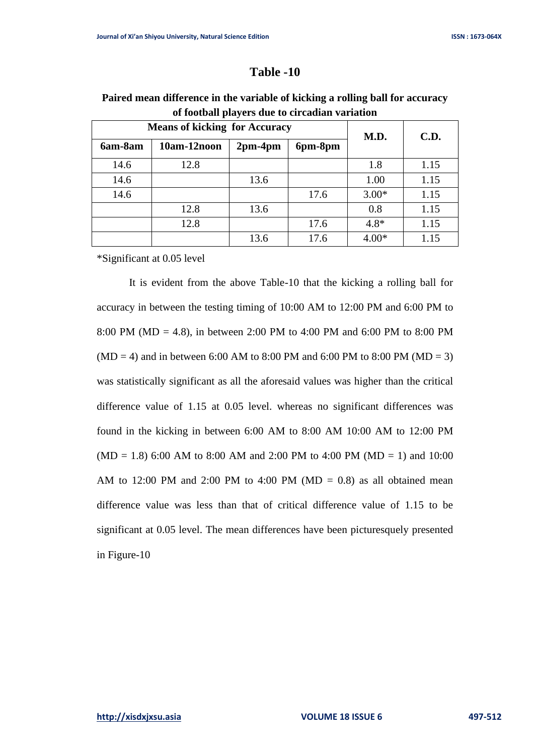# **Table -10**

|         | <b>Means of kicking for Accuracy</b> | M.D.      | <b>C.D.</b> |         |      |
|---------|--------------------------------------|-----------|-------------|---------|------|
| 6am-8am | 10am-12noon                          | $2pm-4pm$ | 6pm-8pm     |         |      |
| 14.6    | 12.8                                 |           |             | 1.8     | 1.15 |
| 14.6    |                                      | 13.6      |             | 1.00    | 1.15 |
| 14.6    |                                      |           | 17.6        | $3.00*$ | 1.15 |
|         | 12.8                                 | 13.6      |             | 0.8     | 1.15 |
|         | 12.8                                 |           | 17.6        | $4.8*$  | 1.15 |
|         |                                      | 13.6      | 17.6        | $4.00*$ | 1.15 |

# **Paired mean difference in the variable of kicking a rolling ball for accuracy of football players due to circadian variation**

\*Significant at 0.05 level

It is evident from the above Table-10 that the kicking a rolling ball for accuracy in between the testing timing of 10:00 AM to 12:00 PM and 6:00 PM to 8:00 PM (MD = 4.8), in between 2:00 PM to 4:00 PM and 6:00 PM to 8:00 PM  $(MD = 4)$  and in between 6:00 AM to 8:00 PM and 6:00 PM to 8:00 PM ( $MD = 3$ ) was statistically significant as all the aforesaid values was higher than the critical difference value of 1.15 at 0.05 level. whereas no significant differences was found in the kicking in between 6:00 AM to 8:00 AM 10:00 AM to 12:00 PM  $(MD = 1.8)$  6:00 AM to 8:00 AM and 2:00 PM to 4:00 PM (MD = 1) and 10:00 AM to 12:00 PM and 2:00 PM to 4:00 PM ( $MD = 0.8$ ) as all obtained mean difference value was less than that of critical difference value of 1.15 to be significant at 0.05 level. The mean differences have been picturesquely presented in Figure-10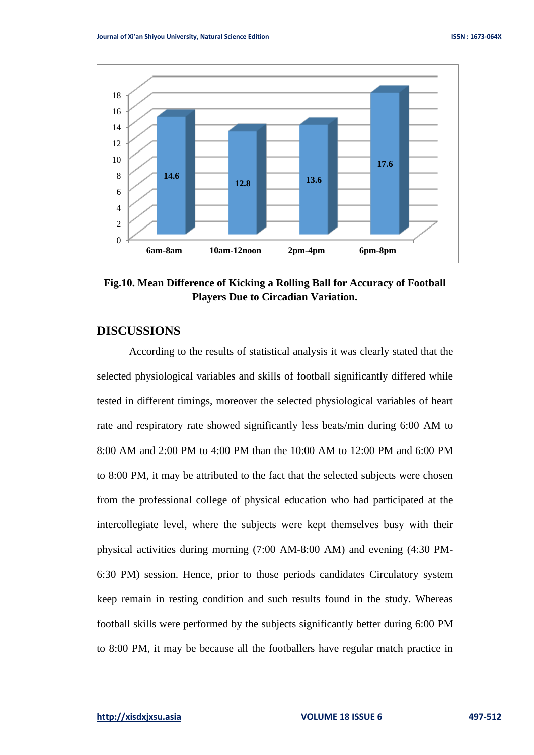

**Fig.10. Mean Difference of Kicking a Rolling Ball for Accuracy of Football Players Due to Circadian Variation.**

# **DISCUSSIONS**

According to the results of statistical analysis it was clearly stated that the selected physiological variables and skills of football significantly differed while tested in different timings, moreover the selected physiological variables of heart rate and respiratory rate showed significantly less beats/min during 6:00 AM to 8:00 AM and 2:00 PM to 4:00 PM than the 10:00 AM to 12:00 PM and 6:00 PM to 8:00 PM, it may be attributed to the fact that the selected subjects were chosen from the professional college of physical education who had participated at the intercollegiate level, where the subjects were kept themselves busy with their physical activities during morning (7:00 AM-8:00 AM) and evening (4:30 PM-6:30 PM) session. Hence, prior to those periods candidates Circulatory system keep remain in resting condition and such results found in the study. Whereas football skills were performed by the subjects significantly better during 6:00 PM to 8:00 PM, it may be because all the footballers have regular match practice in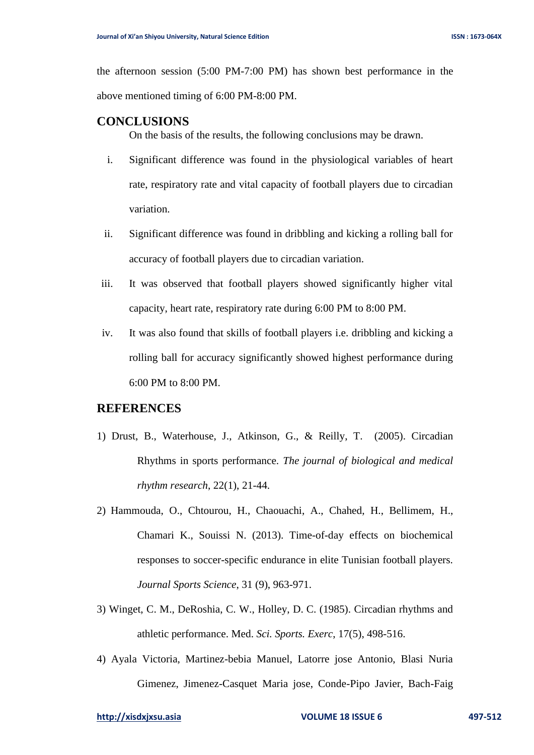the afternoon session (5:00 PM-7:00 PM) has shown best performance in the above mentioned timing of 6:00 PM-8:00 PM.

## **CONCLUSIONS**

On the basis of the results, the following conclusions may be drawn.

- i. Significant difference was found in the physiological variables of heart rate, respiratory rate and vital capacity of football players due to circadian variation.
- ii. Significant difference was found in dribbling and kicking a rolling ball for accuracy of football players due to circadian variation.
- iii. It was observed that football players showed significantly higher vital capacity, heart rate, respiratory rate during 6:00 PM to 8:00 PM.
- iv. It was also found that skills of football players i.e. dribbling and kicking a rolling ball for accuracy significantly showed highest performance during 6:00 PM to 8:00 PM.

### **REFERENCES**

- 1) Drust, B., Waterhouse, J., Atkinson, G., & Reilly, T. (2005). Circadian Rhythms in sports performance. *The journal of biological and medical rhythm research*, 22(1), 21-44.
- 2) Hammouda, O., Chtourou, H., Chaouachi, A., Chahed, H., Bellimem, H., Chamari K., Souissi N. (2013). Time-of-day effects on biochemical responses to soccer-specific endurance in elite Tunisian football players. *Journal Sports Science*, 31 (9), 963-971.
- 3) Winget, C. M., DeRoshia, C. W., Holley, D. C. (1985). Circadian rhythms and athletic performance. Med. *Sci. Sports. Exerc*, 17(5), 498-516.
- 4) Ayala Victoria, Martinez-bebia Manuel, Latorre jose Antonio, Blasi Nuria Gimenez, Jimenez-Casquet Maria jose, Conde-Pipo Javier, Bach-Faig